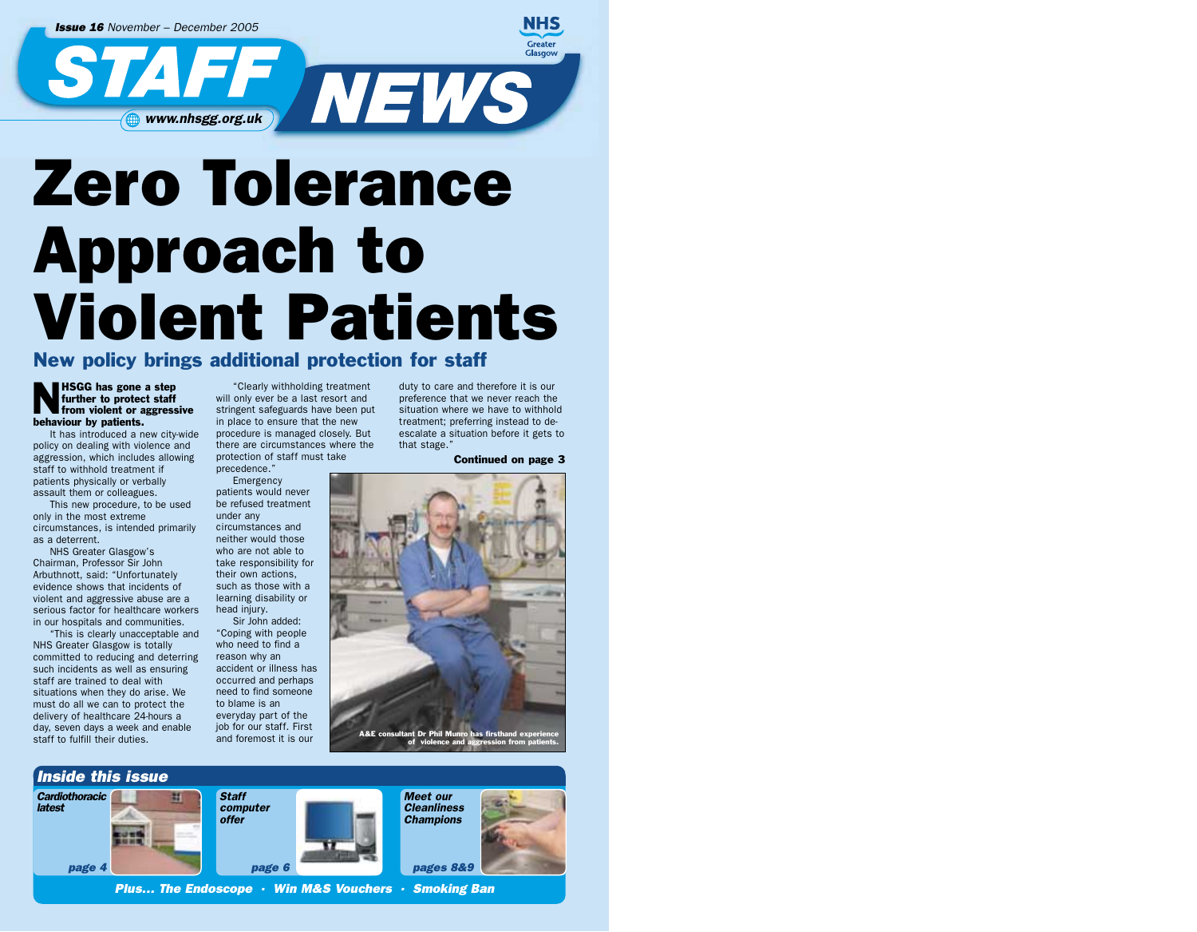*Issue 16 November – December 2005* **NEWS** www.nhsgg.org.uk

## Zero Tolerance Approach to Violent Patients

New policy brings additional protection for staff

HSGG has gone a step<br>further to protect staff<br>from violent or aggress further to protect staff from violent or aggressive behaviour by patients.

It has introduced a new city-wide policy on dealing with violence and aggression, which includes allowing staff to withhold treatment if patients physically or verbally assault them or colleagues.

This new procedure, to be used only in the most extreme circumstances, is intended primarily as a deterrent.

NHS Greater Glasgow's Chairman, Professor Sir John Arbuthnott, said: "Unfortunately evidence shows that incidents of violent and aggressive abuse are a serious factor for healthcare workers in our hospitals and communities.

"This is clearly unacceptable and NHS Greater Glasgow is totally committed to reducing and deterring such incidents as well as ensuring staff are trained to deal with situations when they do arise. We must do all we can to protect the delivery of healthcare 24-hours a day, seven days a week and enable staff to fulfill their duties.

"Clearly withholding treatment will only ever be a last resort and stringent safeguards have been put in place to ensure that the new procedure is managed closely. But there are circumstances where the protection of staff must take

precedence." Emergency patients would never be refused treatment

under any circumstances and neither would those who are not able to take responsibility for their own actions, such as those with a learning disability or head injury.

Sir John added: "Coping with people who need to find a reason why an accident or illness has occurred and perhaps need to find someone to blame is an everyday part of the job for our staff. First and foremost it is our

duty to care and therefore it is our preference that we never reach the situation where we have to withhold treatment; preferring instead to deescalate a situation before it gets to that stage."

Continued on page 3

**NHS** Greater Glasgow



t Dr Phil I of violence and aggression from patients.

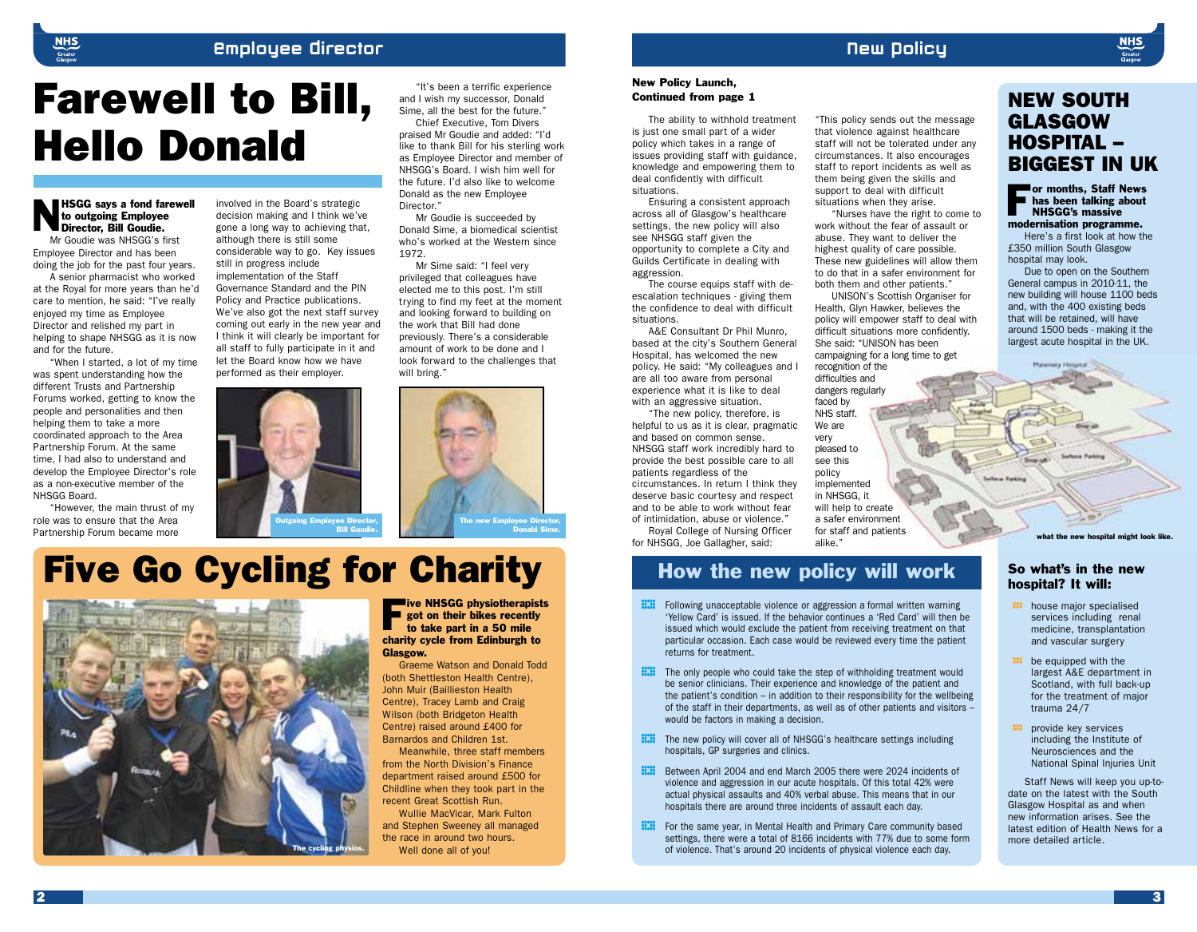#### Employee Director

#### New Policy

"This policy sends out the message that violence against healthcare staff will not be tolerated under any circumstances. It also encourages staff to report incidents as well as them being given the skills and support to deal with difficult situations when they arise.

"Nurses have the right to come to work without the fear of assault or abuse. They want to deliver the highest quality of care possible. These new guidelines will allow them to do that in a safer environment for both them and other patients." UNISON's Scottish Organiser for Health, Glyn Hawker, believes the policy will empower staff to deal with difficult situations more confidently. She said: "UNISON has been campaigning for a long time to get

## Farewell to Bill, Hello Donald

NHSGG says a fond farewell Director, Bill Goudie. to outgoing Employee Mr Goudie was NHSGG's first

Employee Director and has been doing the job for the past four years.

A senior pharmacist who worked at the Royal for more years than he'd care to mention, he said: "I've really enjoyed my time as Employee Director and relished my part in helping to shape NHSGG as it is now and for the future.

"When I started, a lot of my time was spent understanding how the different Trusts and Partnership Forums worked, getting to know the people and personalities and then helping them to take a more coordinated approach to the Area Partnership Forum. At the same time, I had also to understand and develop the Employee Director's role as a non-executive member of the NHSGG Board.

"However, the main thrust of my role was to ensure that the Area Partnership Forum became more

involved in the Board's strategic decision making and I think we've gone a long way to achieving that, although there is still some considerable way to go. Key issues still in progress include implementation of the Staff Governance Standard and the PIN Policy and Practice publications. We've also got the next staff survey coming out early in the new year and I think it will clearly be important for all staff to fully participate in it and let the Board know how we have performed as their employer.



Bill Goudie.

## Five Go Cycling for Charity



**Five NHSGG physiotherapists** got on their bikes recently to take part in a 50 mile charity cycle from Edinburgh to Glasgow.

The new Employee Director,

Donald Sime.

"It's been a terrific experience and I wish my successor, Donald Sime, all the best for the future." Chief Executive, Tom Divers praised Mr Goudie and added: "I'd like to thank Bill for his sterling work as Employee Director and member of NHSGG's Board. I wish him well for the future. I'd also like to welcome Donald as the new Employee

Mr Goudie is succeeded by Donald Sime, a biomedical scientist who's worked at the Western since

Mr Sime said: "I feel very privileged that colleagues have elected me to this post. I'm still trying to find my feet at the moment and looking forward to building on the work that Bill had done previously. There's a considerable amount of work to be done and I look forward to the challenges that

Director."

1072

will bring."

Graeme Watson and Donald Todd (both Shettleston Health Centre), John Muir (Baillieston Health Centre), Tracey Lamb and Craig Wilson (both Bridgeton Health Centre) raised around £400 for Barnardos and Children 1st.

Meanwhile, three staff members from the North Division's Finance department raised around £500 for Childline when they took part in the recent Great Scottish Run.

Wullie MacVicar, Mark Fulton and Stephen Sweeney all managed the race in around two hours.

Well done all of you!

#### New Policy Launch, Continued from page 1

The ability to withhold treatment is just one small part of a wider policy which takes in a range of issues providing staff with guidance, knowledge and empowering them to deal confidently with difficult situations.

Ensuring a consistent approach across all of Glasgow's healthcare settings, the new policy will also see NHSGG staff given the opportunity to complete a City and Guilds Certificate in dealing with aggression.

The course equips staff with deescalation techniques - giving them the confidence to deal with difficult situations.

A&E Consultant Dr Phil Munro, based at the city's Southern General Hospital, has welcomed the new policy. He said: "My colleagues and I are all too aware from personal experience what it is like to deal with an aggressive situation.

"The new policy, therefore, is helpful to us as it is clear, pragmatic and based on common sense. NHSGG staff work incredibly hard to provide the best possible care to all patients regardless of the circumstances. In return I think they deserve basic courtesy and respect and to be able to work without fear of intimidation, abuse or violence."

Royal College of Nursing Officer for NHSGG, Joe Gallagher, said:

#### How the new policy will work

recognition of the difficulties and dangers regularly faced by NHS staff. We are very pleased to see this policy implemented in NHSGG, it will help to create a safer environment for staff and patients

- **III** Following unacceptable violence or aggression a formal written warning<br>
'Yellow Card' is issued. If the behavior continues a 'Red Card' will then b<br>
issued which would exclude the patient from receiving treatment on 'Yellow Card' is issued. If the behavior continues a 'Red Card' will then be particular occasion. Each case would be reviewed every time the patient returns for treatment.
- **FIT** The only people who could take the step of withholding treatment would be senior clinicians. Their experience and knowledge of the patient and the patient's condition in addition to their responsibility for the wel be senior clinicians. Their experience and knowledge of the patient and the patient's condition – in addition to their responsibility for the wellbeing of the staff in their departments, as well as of other patients and visitors – would be factors in making a decision.
- Fig. The new policy will cover all of NHSGG's healthcare settings including<br>hospitals, GP surgeries and clinics.<br>Fig. Between April 2004 and end March 2005 there were 2024 incidents of hospitals, GP surgeries and clinics.
- **ECO** Between April 2004 and end March 2005 there were 2024 incidents of violence and aggression in our acute hospitals. Of this total 42% were actual physical assaults and 40% verbal abuse. This means that in our violence and aggression in our acute hospitals. Of this total 42% were actual physical assaults and 40% verbal abuse. This means that in our hospitals there are around three incidents of assault each day.
- **Follow** For the same year, in Mental Health and Primary Care community based settings, there were a total of 8166 incidents with 77% due to some for of violence. That's around 20 incidents of physical violence each day. settings, there were a total of 8166 incidents with 77% due to some form of violence. That's around 20 incidents of physical violence each day.

#### NEW SOUTH GLASGOW HOSPITAL – BIGGEST IN UK

For months, Staff News<br>
I has been talking about<br>
NHSGG's massive has been talking about NHSGG's massive modernisation programme.

Here's a first look at how the £350 million South Glasgow hospital may look.

Due to open on the Southern General campus in 2010-11, the new building will house 1100 beds and, with the 400 existing beds that will be retained, will have around 1500 beds - making it the largest acute hospital in the UK.

The start and patients what the new hospital might look like."

#### So what's in the new hospital? It will:

- **:::** house major specialised services including renal medicine, transplantation and vascular surgery
- **:::** be equipped with the largest A&E department in Scotland, with full back-up for the treatment of major trauma 24/7
- **:::** provide key services including the Institute of Neurosciences and the National Spinal Injuries Unit

Staff News will keep you up-todate on the latest with the South Glasgow Hospital as and when new information arises. See the latest edition of Health News for a more detailed article.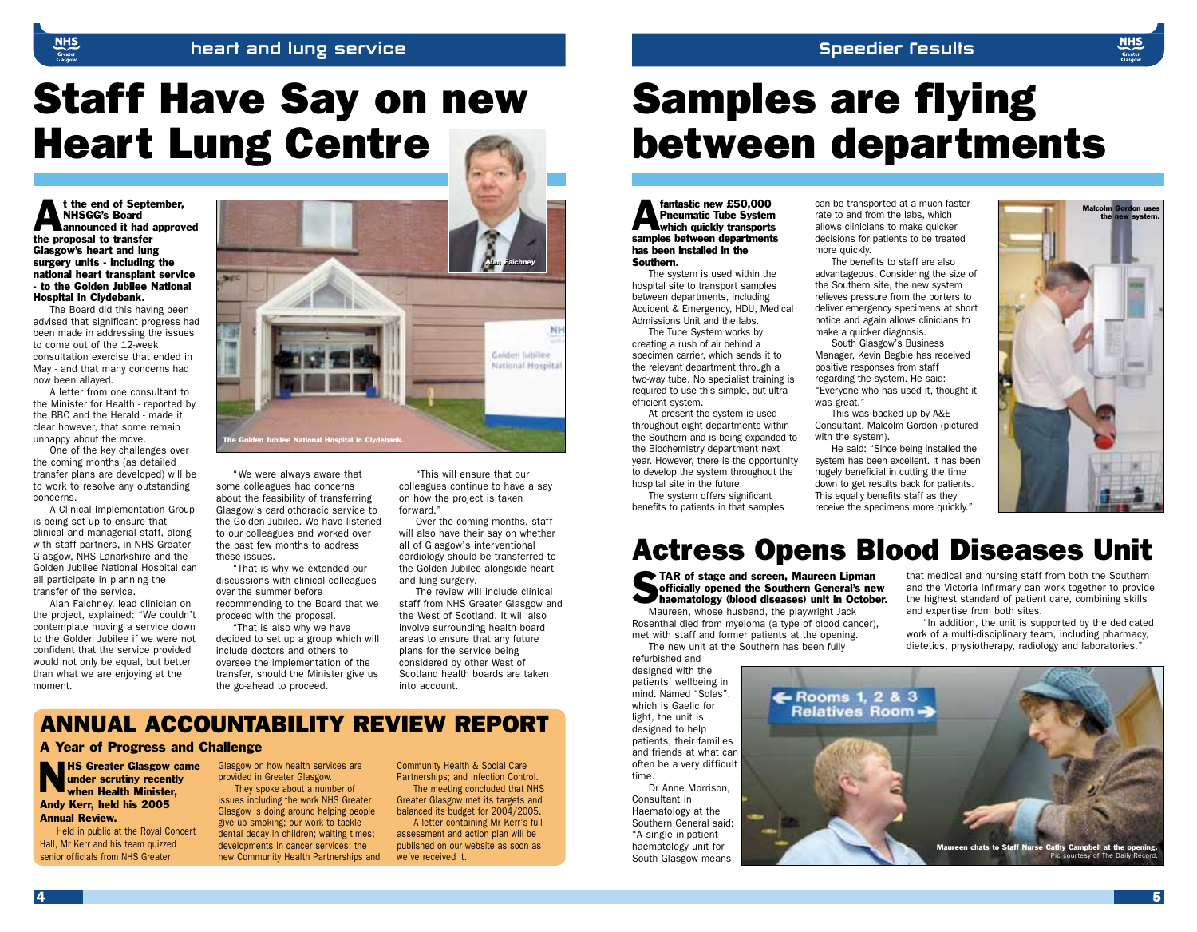#### heart and lung service

## Staff Have Say on new Heart Lung Centre

t the end of September, NHSGG's Board announced it had approved the proposal to transfer Glasgow's heart and lung surgery units - including the national heart transplant service - to the Golden Jubilee National Hospital in Clydebank.

The Board did this having been advised that significant progress had been made in addressing the issues to come out of the 12-week consultation exercise that ended in May - and that many concerns had now been allayed.

A letter from one consultant to the Minister for Health - reported by the BBC and the Herald - made it clear however, that some remain unhappy about the move.

One of the key challenges over the coming months (as detailed transfer plans are developed) will be to work to resolve any outstanding concerns.

A Clinical Implementation Group is being set up to ensure that clinical and managerial staff, along with staff partners, in NHS Greater Glasgow, NHS Lanarkshire and the Golden Jubilee National Hospital can all participate in planning the transfer of the service.

Alan Faichney, lead clinician on the project, explained: "We couldn't contemplate moving a service down to the Golden Jubilee if we were not confident that the service provided would not only be equal, but better than what we are enjoying at the moment.



"We were always aware that some colleagues had concerns about the feasibility of transferring Glasgow's cardiothoracic service to the Golden Jubilee. We have listened to our colleagues and worked over the past few months to address these issues.

"That is why we extended our discussions with clinical colleagues over the summer before recommending to the Board that we proceed with the proposal.

"That is also why we have decided to set up a group which will include doctors and others to oversee the implementation of the transfer, should the Minister give us the go-ahead to proceed.

"This will ensure that our colleagues continue to have a say on how the project is taken forward."

Over the coming months, staff will also have their say on whether all of Glasgow's interventional cardiology should be transferred to the Golden Jubilee alongside heart and lung surgery.

The review will include clinical staff from NHS Greater Glasgow and the West of Scotland. It will also involve surrounding health board areas to ensure that any future plans for the service being considered by other West of Scotland health boards are taken into account.

#### ANNUAL ACCOUNTABILITY REVIEW REPORT

#### A Year of Progress and Challenge

**NHS Greater Glasgow came<br>
under scrutiny recently<br>
when Health Minister,** under scrutiny recently when Health Minister, Andy Kerr, held his 2005 Annual Review.

Held in public at the Royal Concert Hall, Mr Kerr and his team quizzed senior officials from NHS Greater

Glasgow on how health services are provided in Greater Glasgow. They spoke about a number of

issues including the work NHS Greater Glasgow is doing around helping people give up smoking; our work to tackle dental decay in children; waiting times; developments in cancer services; the new Community Health Partnerships and Community Health & Social Care Partnerships; and Infection Control. The meeting concluded that NHS Greater Glasgow met its targets and balanced its budget for 2004/2005. A letter containing Mr Kerr's full assessment and action plan will be published on our website as soon as we've received it.

## Samples are flying between departments

**Speedier Fesults** 

**Analysis Community Community Community**<br> **A** Pneumatic Tube System<br>
which quickly transport Pneumatic Tube System which quickly transports samples between departments has been installed in the Southern.

The system is used within the hospital site to transport samples between departments, including Accident & Emergency, HDU, Medical Admissions Unit and the labs.

The Tube System works by creating a rush of air behind a specimen carrier, which sends it to the relevant department through a two-way tube. No specialist training is required to use this simple, but ultra efficient system.

At present the system is used throughout eight departments within the Southern and is being expanded to the Biochemistry department next year. However, there is the opportunity to develop the system throughout the hospital site in the future.

The system offers significant benefits to patients in that samples can be transported at a much faster rate to and from the labs, which allows clinicians to make quicker decisions for patients to be treated more quickly.

The benefits to staff are also advantageous. Considering the size of the Southern site, the new system relieves pressure from the porters to deliver emergency specimens at short notice and again allows clinicians to make a quicker diagnosis.

South Glasgow's Business Manager, Kevin Begbie has received positive responses from staff regarding the system. He said: "Everyone who has used it, thought it was great."

This was backed up by A&E Consultant, Malcolm Gordon (pictured with the system).

He said: "Since being installed the system has been excellent. It has been hugely beneficial in cutting the time down to get results back for patients. This equally benefits staff as they receive the specimens more quickly."



#### Actress Opens Blood Diseases Unit

TAR of stage and screen, Maureen Lipman officially opened the Southern General's new haematology (blood diseases) unit in October.

Maureen, whose husband, the playwright Jack Rosenthal died from myeloma (a type of blood cancer), met with staff and former patients at the opening.

The new unit at the Southern has been fully refurbished and designed with the

patients' wellbeing in mind. Named "Solas", which is Gaelic for light, the unit is designed to help patients, their families and friends at what can often be a very difficult time.

Dr Anne Morrison, Consultant in Haematology at the Southern General said: "A single in-patient haematology unit for South Glasgow means

that medical and nursing staff from both the Southern and the Victoria Infirmary can work together to provide the highest standard of patient care, combining skills and expertise from both sites.

"In addition, the unit is supported by the dedicated work of a multi-disciplinary team, including pharmacy, dietetics, physiotherapy, radiology and laboratories."

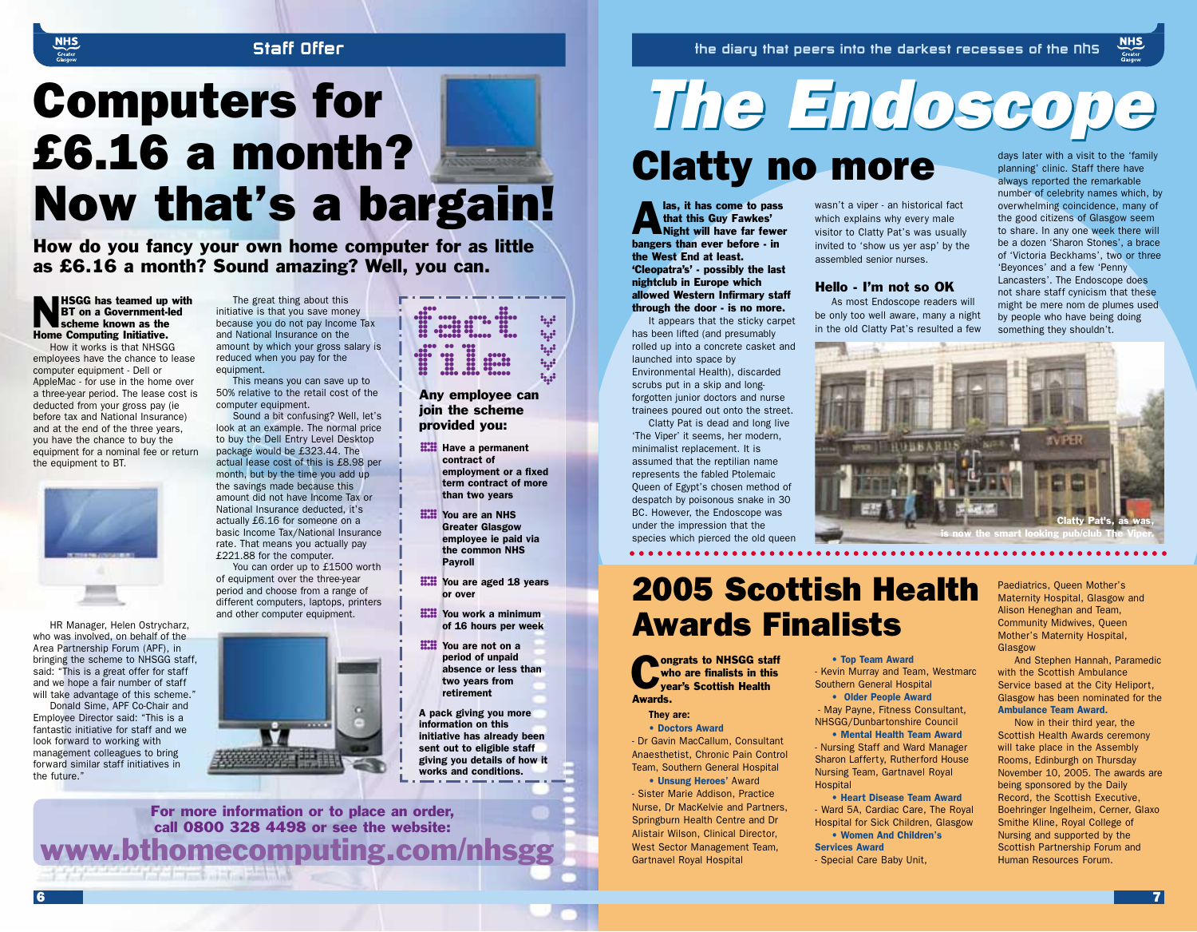#### Staff Offer

## Computers for £6.16 a month? Now that's a bargain!

How do you fancy your own home computer for as little as £6.16 a month? Sound amazing? Well, you can.



How it works is that NHSGG employees have the chance to lease computer equipment - Dell or AppleMac - for use in the home over a three-year period. The lease cost is deducted from your gross pay (ie before tax and National Insurance) and at the end of the three years, you have the chance to buy the equipment for a nominal fee or return the equipment to BT.



HR Manager, Helen Ostrycharz, who was involved, on behalf of the Area Partnership Forum (APF), in bringing the scheme to NHSGG staff, said: "This is a great offer for staff and we hope a fair number of staff will take advantage of this scheme."

Donald Sime, APF Co-Chair and Employee Director said: "This is a fantastic initiative for staff and we look forward to working with management colleagues to bring forward similar staff initiatives in the future."

6

The great thing about this initiative is that you save money because you do not pay Income Tax and National Insurance on the amount by which your gross salary is reduced when you pay for the equipment.

This means you can save up to 50% relative to the retail cost of the computer equipment.

Sound a bit confusing? Well, let's look at an example. The normal price to buy the Dell Entry Level Desktop package would be £323.44. The actual lease cost of this is £8.98 per month, but by the time you add up the savings made because this amount did not have Income Tax or National Insurance deducted, it's actually £6.16 for someone on a basic Income Tax/National Insurance rate. That means you actually pay £221.88 for the computer.

of equipment over the three-year period and choose from a range of different computers, laptops, printers and other computer equipment.



You can order up to £1500 worth



www.bthomecomputing.com/nhsgg For more information or to place an order, call 0800 328 4498 or see the website:

## $\frac{1}{10}$  and  $\frac{1}{10}$  and  $\frac{1}{10}$  and  $\frac{1}{10}$ >>>>>

Any employee can join the scheme provided you:

- **EXAMPLE Have a permanent** contract of employment or a fixed term contract of more than two years
- **H.H.** You are an NHS<br>Greater Glasgow<br>employee ie paid via Greater Glasgow the common NHS Payroll
- **Will You are aged 18 years** or over **::::: You work a minimum**
- of 16 hours per week
- **EXAMPLE You are not on a** period of unpaid absence or less than two years from retirement
- A pack giving you more information on this initiative has already been sent out to eligible staff giving you details of how it works and conditions.

## *The Endoscope The Endoscope* days later with a visit to the 'family

### Clatty no more

**Alas, it has come to pass<br>that this Guy Fawkes'**<br>Night will have far fewer that this Guy Fawkes' bangers than ever before - in the West End at least. 'Cleopatra's' - possibly the last nightclub in Europe which allowed Western Infirmary staff through the door - is no more.

It appears that the sticky carpet has been lifted (and presumably rolled up into a concrete casket and launched into space by Environmental Health), discarded scrubs put in a skip and longforgotten junior doctors and nurse trainees poured out onto the street. **be only too well aware, many a night**<br> **be only too well aware, many a night**<br> **has been lifted (and presumably** in the old Clatty Pat's resulted a few<br>
rolled up into a concrete casket and

Clatty Pat is dead and long live 'The Viper' it seems, her modern, minimalist replacement. It is assumed that the reptilian name represents the fabled Ptolemaic Queen of Egypt's chosen method of despatch by poisonous snake in 30 BC. However, the Endoscope was under the impression that the species which pierced the old queen

### 2005 Scottish Health Awards Finalists

• Top Team Award

Southern General Hospital • Older People Award - May Payne, Fitness Consultant, NHSGG/Dunbartonshire Council • Mental Health Team Award - Nursing Staff and Ward Manager Sharon Lafferty, Rutherford House Nursing Team, Gartnavel Royal

**Hospital** 

Services Award

- Special Care Baby Unit,

- Kevin Murray and Team, Westmarc

• Heart Disease Team Award - Ward 5A, Cardiac Care, The Royal Hospital for Sick Children, Glasgow • Women And Children's

**Congrats to NHSGG staff**<br>who are finalists in this<br>year's Scottish Health who are finalists in this vear's Scottish Health Awards.

They are:

• Doctors Award - Dr Gavin MacCallum, Consultant Anaesthetist, Chronic Pain Control Team, Southern General Hospital

• Unsung Heroes' Award - Sister Marie Addison, Practice Nurse, Dr MacKelvie and Partners, Springburn Health Centre and Dr Alistair Wilson, Clinical Director, West Sector Management Team, Gartnavel Royal Hospital

wasn't a viper - an historical fact which explains why every male visitor to Clatty Pat's was usually invited to 'show us yer asp' by the assembled senior nurses.

#### Hello - I'm not so OK

As most Endoscope readers will

planning' clinic. Staff there have always reported the remarkable number of celebrity names which, by overwhelming coincidence, many of the good citizens of Glasgow seem to share. In any one week there will be a dozen 'Sharon Stones', a brace of 'Victoria Beckhams', two or three 'Beyonces' and a few 'Penny Lancasters'. The Endoscope does not share staff cynicism that these might be mere nom de plumes used by people who have being doing something they shouldn't.



Paediatrics, Queen Mother's Maternity Hospital, Glasgow and Alison Heneghan and Team, Community Midwives, Queen Mother's Maternity Hospital, Glasgow

And Stephen Hannah, Paramedic with the Scottish Ambulance Service based at the City Heliport, Glasgow has been nominated for the Ambulance Team Award.

Now in their third year, the Scottish Health Awards ceremony will take place in the Assembly Rooms, Edinburgh on Thursday November 10, 2005. The awards are being sponsored by the Daily Record, the Scottish Executive, Boehringer Ingelheim, Cerner, Glaxo Smithe Kline, Royal College of Nursing and supported by the Scottish Partnership Forum and Human Resources Forum.

7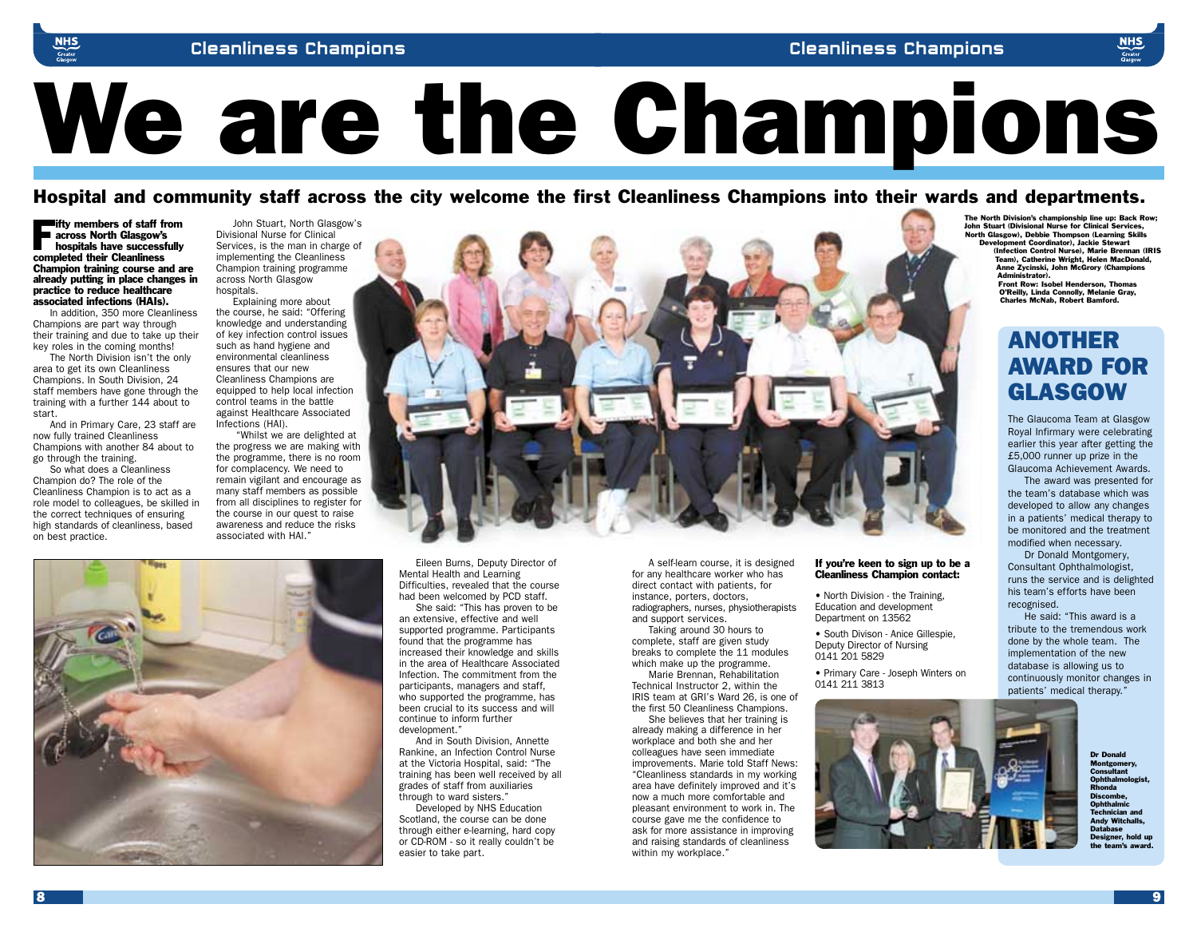# We are the Champions

Hospital and community staff across the city welcome the first Cleanliness Champions into their wards and departments.

Fifty members of staff from<br>across North Glasgow's<br>hospitals have successfully<br>completed their Classification across North Glasgow's hospitals have successfully completed their Cleanliness Champion training course and are already putting in place changes in practice to reduce healthcare associated infections (HAIs).

In addition, 350 more Cleanliness Champions are part way through their training and due to take up their key roles in the coming months!

The North Division isn't the only area to get its own Cleanliness Champions. In South Division, 24 staff members have gone through the training with a further 144 about to start.

And in Primary Care, 23 staff are now fully trained Cleanliness Champions with another 84 about to go through the training.

So what does a Cleanliness Champion do? The role of the Cleanliness Champion is to act as a role model to colleagues, be skilled in the correct techniques of ensuring high standards of cleanliness, based on best practice.

John Stuart, North Glasgow's Divisional Nurse for Clinical Services, is the man in charge of implementing the Cleanliness Champion training programme across North Glasgow hospitals.

Explaining more about the course, he said: "Offering knowledge and understanding of key infection control issues such as hand hygiene and environmental cleanliness ensures that our new Cleanliness Champions are equipped to help local infection control teams in the battle against Healthcare Associated Infections (HAI).

"Whilst we are delighted at the progress we are making with the programme, there is no room for complacency. We need to remain vigilant and encourage as many staff members as possible from all disciplines to register for the course in our quest to raise awareness and reduce the risks associated with HAI."



Eileen Burns, Deputy Director of Mental Health and Learning Difficulties, revealed that the course had been welcomed by PCD staff.

She said: "This has proven to be an extensive, effective and well supported programme. Participants found that the programme has increased their knowledge and skills in the area of Healthcare Associated Infection. The commitment from the participants, managers and staff, who supported the programme, has been crucial to its success and will continue to inform further development."

And in South Division, Annette Rankine, an Infection Control Nurse at the Victoria Hospital, said: "The training has been well received by all grades of staff from auxiliaries through to ward sisters."

Developed by NHS Education Scotland, the course can be done through either e-learning, hard copy or CD-ROM - so it really couldn't be easier to take part.

A self-learn course, it is designed for any healthcare worker who has direct contact with patients, for instance, porters, doctors, radiographers, nurses, physiotherapists and support services.

Taking around 30 hours to complete, staff are given study breaks to complete the 11 modules which make up the programme.

Marie Brennan, Rehabilitation Technical Instructor 2, within the IRIS team at GRI's Ward 26, is one of the first 50 Cleanliness Champions.

She believes that her training is already making a difference in her workplace and both she and her colleagues have seen immediate improvements. Marie told Staff News: "Cleanliness standards in my working area have definitely improved and it's now a much more comfortable and pleasant environment to work in. The course gave me the confidence to ask for more assistance in improving and raising standards of cleanliness within my workplace."

#### If you're keen to sign up to be a Cleanliness Champion contact:

• North Division - the Training, Education and development Department on 13562

- South Divison Anice Gillespie, Deputy Director of Nursing 0141 201 5829
- Primary Care Joseph Winters on 0141 211 3813



The North Division's championship line up: Back Row; John Stuart (Divisional Nurse for Clinical Services, North Glasgow), Debbie Thompson (Learning Skills Development Coordinator), Jackie Stewart (Infection Control Nurse), Marie Brennan (IRIS Team), Catherine Wright, Helen MacDonald, Anne Zycinski, John McGrory (Champions Administrator). Front Row: Isobel Henderson, Thomas O'Reilly, Linda Connolly, Melanie Gray, Charles McNab, Robert Bamford.

#### ANOTHER AWARD FOR GLASGOW

The Glaucoma Team at Glasgow Royal Infirmary were celebrating earlier this year after getting the £5,000 runner up prize in the Glaucoma Achievement Awards.

The award was presented for the team's database which was developed to allow any changes in a patients' medical therapy to be monitored and the treatment modified when necessary.

Dr Donald Montgomery,

Consultant Ophthalmologist, runs the service and is delighted his team's efforts have been recognised.

He said: "This award is a tribute to the tremendous work done by the whole team. The implementation of the new database is allowing us to continuously monitor changes in patients' medical therapy."

> Dr Donald Montgom **Consultant** Ophtha Rhonda **Discombe** Ophth: Technician and Andy Witchalls, Database Designer, hold up the team's award.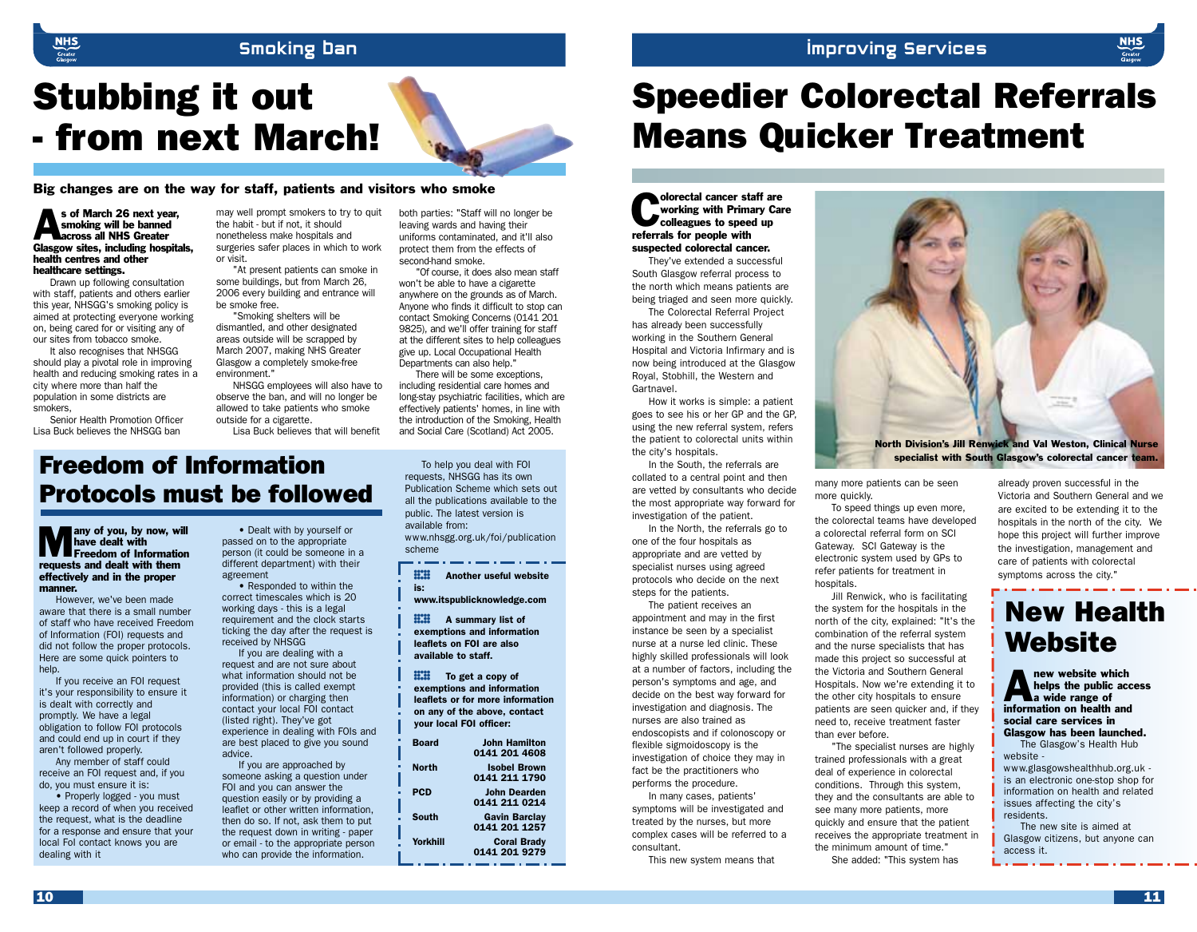#### Improving Services

#### Smoking Ban

### Stubbing it out - from next March!

Big changes are on the way for staff, patients and visitors who smoke

#### s of March 26 next year,<br>smoking will be banned<br>across all NHS Greater smoking will be banned across all NHS Greater Glasgow sites, including hospitals, health centres and other healthcare settings.

Drawn up following consultation with staff, patients and others earlier this year, NHSGG's smoking policy is aimed at protecting everyone working on, being cared for or visiting any of our sites from tobacco smoke.

It also recognises that NHSGG should play a pivotal role in improving health and reducing smoking rates in a city where more than half the population in some districts are smokers,

Senior Health Promotion Officer Lisa Buck believes the NHSGG ban

may well prompt smokers to try to quit the habit - but if not, it should nonetheless make hospitals and surgeries safer places in which to work or visit.

"At present patients can smoke in some buildings, but from March 26, 2006 every building and entrance will be smoke free.

"Smoking shelters will be dismantled, and other designated areas outside will be scrapped by March 2007, making NHS Greater Glasgow a completely smoke-free environment."

NHSGG employees will also have to observe the ban, and will no longer be allowed to take patients who smoke outside for a cigarette. Lisa Buck believes that will benefit

Freedom of Information Protocols must be followed

**Many of you, by now, will have dealt with**<br>**Freedom of Information** have dealt with requests and dealt with them effectively and in the proper manner.

However, we've been made aware that there is a small number of staff who have received Freedom of Information (FOI) requests and did not follow the proper protocols. Here are some quick pointers to help.

If you receive an FOI request it's your responsibility to ensure it is dealt with correctly and promptly. We have a legal obligation to follow FOI protocols and could end up in court if they aren't followed properly.

Any member of staff could receive an FOI request and, if you do, you must ensure it is:

• Properly logged - you must keep a record of when you received the request, what is the deadline for a response and ensure that your local FoI contact knows you are dealing with it

• Dealt with by yourself or passed on to the appropriate person (it could be someone in a different department) with their agreement

• Responded to within the correct timescales which is 20 working days - this is a legal requirement and the clock starts ticking the day after the request is received by NHSGG

If you are dealing with a request and are not sure about what information should not be provided (this is called exempt information) or charging then contact your local FOI contact (listed right). They've got experience in dealing with FOIs and are best placed to give you sound advice.

If you are approached by someone asking a question under FOI and you can answer the question easily or by providing a leaflet or other written information, then do so. If not, ask them to put the request down in writing - paper or email - to the appropriate person who can provide the information.

both parties: "Staff will no longer be leaving wards and having their uniforms contaminated, and it'll also protect them from the effects of second-hand smoke.

"Of course, it does also mean staff won't be able to have a cigarette anywhere on the grounds as of March. Anyone who finds it difficult to stop can contact Smoking Concerns (0141 201 9825), and we'll offer training for staff at the different sites to help colleagues give up. Local Occupational Health Departments can also help."

There will be some exceptions, including residential care homes and long-stay psychiatric facilities, which are effectively patients' homes, in line with the introduction of the Smoking, Health and Social Care (Scotland) Act 2005.

To help you deal with FOI requests, NHSGG has its own Publication Scheme which sets out all the publications available to the public. The latest version is available from: www.nhsgg.org.uk/foi/publication scheme

**H.H.** Another useful website<br>is:<br>www.itspublicknowledge.com is:

**HATE A summary list of**<br>exemptions and informat<br>leaflets on FOI are also exemptions and information available to staff.

**H.II** To get a copy of<br>exemptions and information<br>leaflets or for more information exemptions and information on any of the above, contact your local FOI officer:

| <b>Board</b> | <b>John Hamilton</b><br>0141 201 4608 |
|--------------|---------------------------------------|
| North        | <b>Isobel Brown</b><br>0141 211 1790  |
| <b>PCD</b>   | <b>John Dearden</b><br>0141 211 0214  |
| South        | <b>Gavin Barclay</b><br>0141 201 1257 |
| Yorkhill     | <b>Coral Brady</b><br>0141 201 9279   |

### Speedier Colorectal Referrals Means Quicker Treatment

Olorectal cancer staff are<br>
working with Primary Cancel<br>
colleagues to speed up working with Primary Care colleagues to speed up referrals for people with suspected colorectal cancer.

They've extended a successful South Glasgow referral process to the north which means patients are being triaged and seen more quickly.

The Colorectal Referral Project has already been successfully working in the Southern General Hospital and Victoria Infirmary and is now being introduced at the Glasgow Royal, Stobhill, the Western and Gartnavel.

How it works is simple: a patient goes to see his or her GP and the GP, using the new referral system, refers the patient to colorectal units within the city's hospitals.

In the South, the referrals are collated to a central point and then are vetted by consultants who decide the most appropriate way forward for investigation of the patient.

In the North, the referrals go to one of the four hospitals as appropriate and are vetted by specialist nurses using agreed protocols who decide on the next steps for the patients.

The patient receives an appointment and may in the first instance be seen by a specialist nurse at a nurse led clinic. These highly skilled professionals will look at a number of factors, including the person's symptoms and age, and decide on the best way forward for investigation and diagnosis. The nurses are also trained as endoscopists and if colonoscopy or flexible sigmoidoscopy is the investigation of choice they may in fact be the practitioners who performs the procedure.

In many cases, patients' symptoms will be investigated and treated by the nurses, but more complex cases will be referred to a consultant.

This new system means that



specialist with South Glasgow's colorectal cancer team.

many more patients can be seen more quickly.

To speed things up even more, the colorectal teams have developed a colorectal referral form on SCI Gateway. SCI Gateway is the electronic system used by GPs to refer patients for treatment in hospitals.

Jill Renwick, who is facilitating the system for the hospitals in the north of the city, explained: "It's the combination of the referral system and the nurse specialists that has made this project so successful at the Victoria and Southern General Hospitals. Now we're extending it to the other city hospitals to ensure patients are seen quicker and, if they need to, receive treatment faster than ever before.

"The specialist nurses are highly trained professionals with a great deal of experience in colorectal conditions. Through this system, they and the consultants are able to see many more patients, more quickly and ensure that the patient receives the appropriate treatment in the minimum amount of time."

She added: "This system has

already proven successful in the Victoria and Southern General and we are excited to be extending it to the hospitals in the north of the city. We hope this project will further improve the investigation, management and care of patients with colorectal symptoms across the city."

#### New Health **Website**

**A** new website which<br>helps the public according to a wide range of helps the public access information on health and social care services in Glasgow has been launched.

The Glasgow's Health Hub website www.glasgowshealthhub.org.uk is an electronic one-stop shop for information on health and related issues affecting the city's residents.

The new site is aimed at Glasgow citizens, but anyone can access it.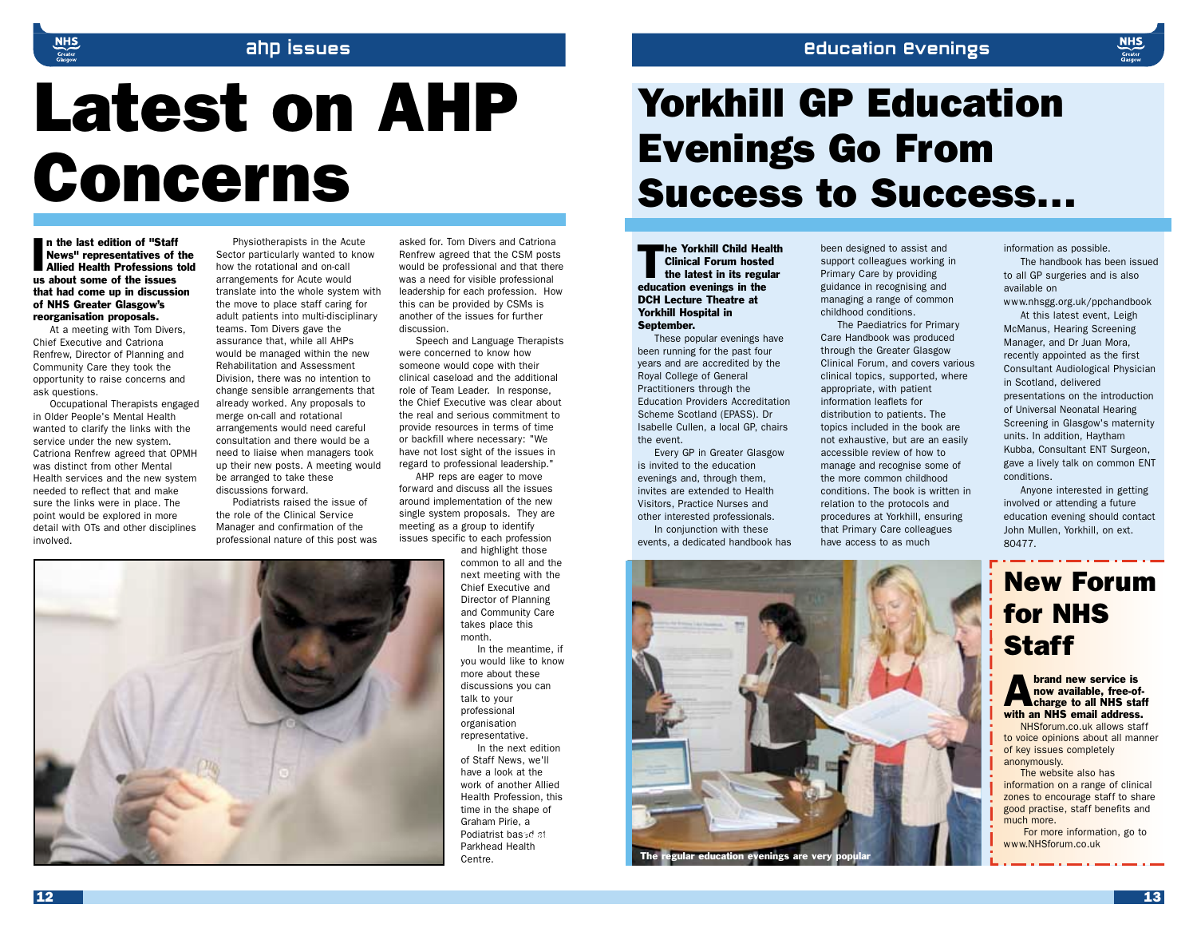#### Education Evenings

## Latest on AHP Concerns

ahp issues

In the last edition of "Staff"<br>
News" representatives of the<br>
Allied Health Professions told n the last edition of "Staff News" representatives of the us about some of the issues that had come up in discussion of NHS Greater Glasgow's reorganisation proposals.

At a meeting with Tom Divers, Chief Executive and Catriona Renfrew, Director of Planning and Community Care they took the opportunity to raise concerns and ask questions.

Occupational Therapists engaged in Older People's Mental Health wanted to clarify the links with the service under the new system. Catriona Renfrew agreed that OPMH was distinct from other Mental Health services and the new system needed to reflect that and make sure the links were in place. The point would be explored in more detail with OTs and other disciplines involved.

Physiotherapists in the Acute Sector particularly wanted to know how the rotational and on-call arrangements for Acute would translate into the whole system with the move to place staff caring for adult patients into multi-disciplinary teams. Tom Divers gave the assurance that, while all AHPs would be managed within the new Rehabilitation and Assessment Division, there was no intention to change sensible arrangements that already worked. Any proposals to merge on-call and rotational arrangements would need careful consultation and there would be a need to liaise when managers took up their new posts. A meeting would be arranged to take these

discussions forward. Podiatrists raised the issue of the role of the Clinical Service Manager and confirmation of the professional nature of this post was

asked for. Tom Divers and Catriona Renfrew agreed that the CSM posts would be professional and that there was a need for visible professional leadership for each profession. How this can be provided by CSMs is another of the issues for further discussion.

Speech and Language Therapists were concerned to know how someone would cope with their clinical caseload and the additional role of Team Leader. In response, the Chief Executive was clear about the real and serious commitment to provide resources in terms of time or backfill where necessary: "We have not lost sight of the issues in regard to professional leadership."

AHP reps are eager to move forward and discuss all the issues around implementation of the new single system proposals. They are meeting as a group to identify issues specific to each profession

and highlight those common to all and the next meeting with the Chief Executive and Director of Planning and Community Care takes place this month.

In the meantime, if you would like to know more about these discussions you can talk to your professional organisation representative.

In the next edition of Staff News, we'll have a look at the work of another Allied Health Profession, this time in the shape of Graham Pirie, a Podiatrist based at Parkhead Health Centre.

## Yorkhill GP Education Evenings Go From Success to Success…

The Yorkhill Child Health<br>Clinical Forum hosted<br>the latest in its regular Clinical Forum hosted the latest in its regular education evenings in the DCH Lecture Theatre at Yorkhill Hospital in September.

These popular evenings have been running for the past four years and are accredited by the Royal College of General Practitioners through the Education Providers Accreditation Scheme Scotland (EPASS). Dr Isabelle Cullen, a local GP, chairs the event.

Every GP in Greater Glasgow is invited to the education evenings and, through them, invites are extended to Health Visitors, Practice Nurses and other interested professionals. In conjunction with these

events, a dedicated handbook has

been designed to assist and support colleagues working in Primary Care by providing guidance in recognising and managing a range of common childhood conditions.

The Paediatrics for Primary Care Handbook was produced through the Greater Glasgow Clinical Forum, and covers various clinical topics, supported, where appropriate, with patient information leaflets for distribution to patients. The topics included in the book are not exhaustive, but are an easily accessible review of how to manage and recognise some of the more common childhood conditions. The book is written in relation to the protocols and procedures at Yorkhill, ensuring that Primary Care colleagues have access to as much

information as possible.

The handbook has been issued to all GP surgeries and is also available on www.nhsgg.org.uk/ppchandbook

At this latest event, Leigh McManus, Hearing Screening Manager, and Dr Juan Mora, recently appointed as the first Consultant Audiological Physician in Scotland, delivered presentations on the introduction of Universal Neonatal Hearing Screening in Glasgow's maternity units. In addition, Haytham Kubba, Consultant ENT Surgeon, gave a lively talk on common ENT conditions.

Anyone interested in getting involved or attending a future education evening should contact John Mullen, Yorkhill, on ext. 80477.

#### New Forum for NHS **Staff**

**Abrand new service is<br>now available, free-of-**<br>charge to all NHS staff now available, free-ofwith an NHS email address.

NHSforum.co.uk allows staff to voice opinions about all manner of key issues completely anonymously.

The website also has information on a range of clinical zones to encourage staff to share good practise, staff benefits and much more.

For more information, go to www.NHSforum.co.uk

gular education evenings are very

12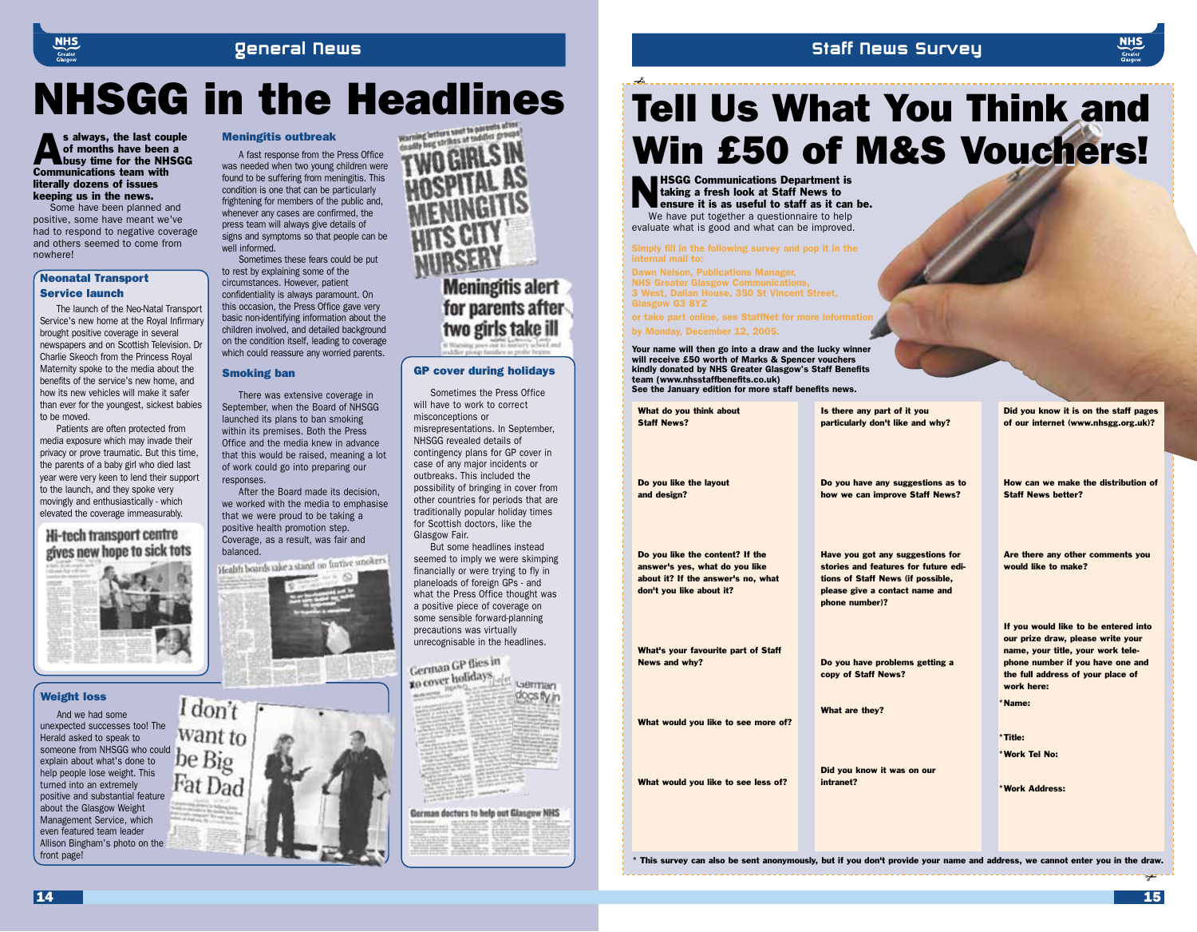#### General News

#### Staff News Survey



## **NHSGG in the Headlines**

s always, the last couple<br>of months have been a<br>busy time for the NHSGG of months have been a Communications team with literally dozens of issues keeping us in the news.

Some have been planned and positive, some have meant we've had to respond to negative coverage and others seemed to come from nowhere!

#### Neonatal Transport Service launch

The launch of the Neo-Natal Transport Service's new home at the Royal Infirmary brought positive coverage in several newspapers and on Scottish Television. Dr Charlie Skeoch from the Princess Royal Maternity spoke to the media about the benefits of the service's new home, and how its new vehicles will make it safer than ever for the youngest, sickest babies to be moved.

Patients are often protected from media exposure which may invade their privacy or prove traumatic. But this time, the parents of a baby girl who died last year were very keen to lend their support to the launch, and they spoke very movingly and enthusiastically - which elevated the coverage immeasurably.

#### Hi-tech transport centre gives new hope to sick tots



#### Weight loss

And we had some unexpected successes too! The<br>Herald asked to speak to Herald asked to speak to someone from NHSGG who could explain about what's done to help people lose weight. This turned into an extremely positive and substantial feature about the Glasgow Weight Management Service, which even featured team leader Allison Bingham's photo on the front page!

#### Meningitis outbreak

A fast response from the Press Office was needed when two young children were found to be suffering from meningitis. This condition is one that can be particularly frightening for members of the public and, whenever any cases are confirmed, the press team will always give details of signs and symptoms so that people can be well informed.

Sometimes these fears could be put to rest by explaining some of the circumstances. However, patient confidentiality is always paramount. On this occasion, the Press Office gave very basic non-identifying information about the children involved, and detailed background on the condition itself, leading to coverage which could reassure any worried parents.

#### Smoking ban

There was extensive coverage in September, when the Board of NHSGG launched its plans to ban smoking within its premises. Both the Press Office and the media knew in advance that this would be raised, meaning a lot of work could go into preparing our responses.

After the Board made its decision, we worked with the media to emphasise that we were proud to be taking a positive health promotion step. Coverage, as a result, was fair and

balanced.<br>Health boards take a stand on furtive smokers



I don't want to Fat Dad



for parents after two girls take ill

#### GP cover during holidays

Sometimes the Press Office will have to work to correct misconceptions or misrepresentations. In September, NHSGG revealed details of contingency plans for GP cover in case of any major incidents or outbreaks. This included the possibility of bringing in cover from other countries for periods that are traditionally popular holiday times for Scottish doctors, like the Glasgow Fair.

But some headlines instead seemed to imply we were skimping financially or were trying to fly in planeloads of foreign GPs - and what the Press Office thought was a positive piece of coverage on some sensible forward-planning precautions was virtually unrecognisable in the headlines.

#### German GP flies in

to cover holidays German docs fly in

#### German doctors to help out Glasgow NHS

## Tell Us What You Think and Win £50 of M&S Vouchers!

**HSGG Communications Department is** taking a fresh look at Staff News to ensure it is as useful to staff as it can be.

We have put together a questionnaire to help evaluate what is good and what can be improved.

✃

Simply fill in the following survey and pop it in the internal mail to:

Dawn Nelson, Publications Manager, NHS Greater Glasgow Communications, 3 West, Dalian House, 350 St Vincent Street, Glasgow G3 8YZ

or take part online, see StaffNet for more information by Monday, December 12, 2005.

Your name will then go into a draw and the lucky winner will receive £50 worth of Marks & Spencer vouchers kindly donated by NHS Greater Glasgow's Staff Benefits team (www.nhsstaffbenefits.co.uk) See the January edition for more staff benefits news.

What do you think about Staff News? Do you like the layout and design? Do you like the content? If the answer's yes, what do you like about it? If the answer's no, what don't you like about it? What's your favourite part of Staff News and why? What would you like to see more of? What would you like to see less of? Is there any part of it you particularly don't like and why? Do you have any suggestions as to how we can improve Staff News? Have you got any suggestions for stories and features for future editions of Staff News (if possible, please give a contact name and phone number)? Do you have problems getting a copy of Staff News? What are they? Did you know it was on our intranet? Did you know it is on the staff pages of our internet (www.nhsgg.org.uk)? How can we make the distribution of Staff News better? Are there any other comments you would like to make? If you would like to be entered into our prize draw, please write your name, your title, your work telephone number if you have one and the full address of your place of work here: Name: \* Title: \* Work Tel No: \*

✃ \* This survey can also be sent anonymously, but if you don't provide your name and address, we cannot enter you in the draw.

Work Address: \*